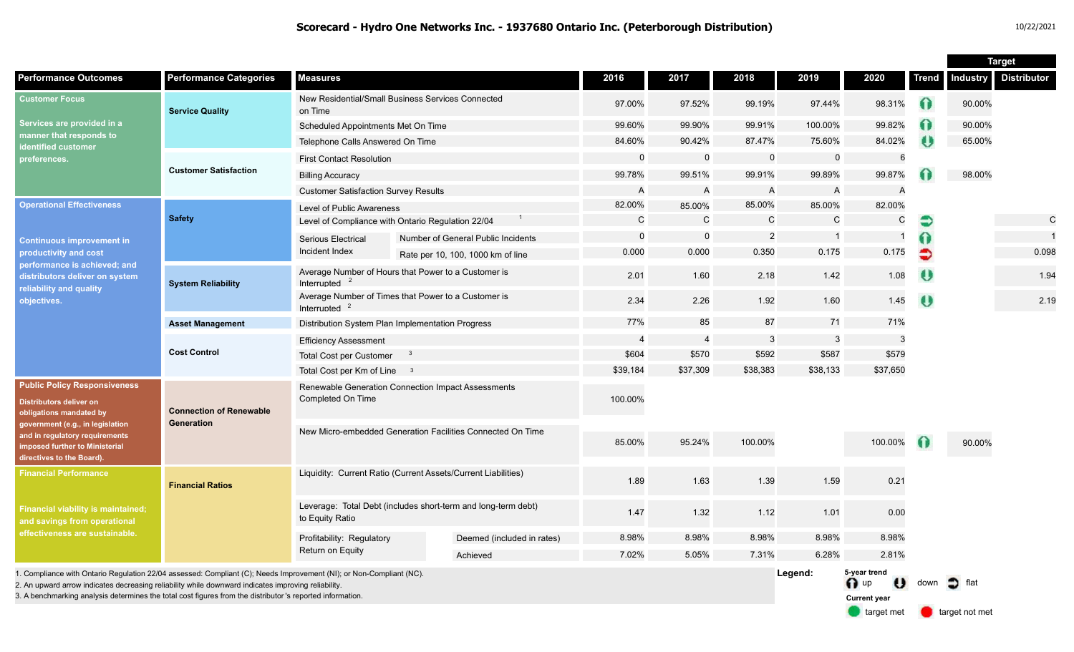|                                                                                                                                                                                                                                                                                                                                         |                                              |                                                                                  |  |                                                               |                          |                |              |              |                                                     |              | <b>Target</b>   |                    |
|-----------------------------------------------------------------------------------------------------------------------------------------------------------------------------------------------------------------------------------------------------------------------------------------------------------------------------------------|----------------------------------------------|----------------------------------------------------------------------------------|--|---------------------------------------------------------------|--------------------------|----------------|--------------|--------------|-----------------------------------------------------|--------------|-----------------|--------------------|
| <b>Performance Outcomes</b>                                                                                                                                                                                                                                                                                                             | <b>Performance Categories</b>                | <b>Measures</b>                                                                  |  |                                                               | 2016                     | 2017           | 2018         | 2019         | 2020                                                | <b>Trend</b> | <b>Industry</b> | <b>Distributor</b> |
| <b>Customer Focus</b><br>Services are provided in a<br>manner that responds to<br>identified customer<br>preferences.                                                                                                                                                                                                                   | <b>Service Quality</b>                       | New Residential/Small Business Services Connected<br>on Time                     |  | 97.00%                                                        | 97.52%                   | 99.19%         | 97.44%       | 98.31%       | $\Omega$                                            | 90.00%       |                 |                    |
|                                                                                                                                                                                                                                                                                                                                         |                                              | Scheduled Appointments Met On Time                                               |  |                                                               | 99.60%                   | 99.90%         | 99.91%       | 100.00%      | 99.82%                                              | 0            | 90.00%          |                    |
|                                                                                                                                                                                                                                                                                                                                         |                                              | Telephone Calls Answered On Time                                                 |  |                                                               | 84.60%                   | 90.42%         | 87.47%       | 75.60%       | 84.02%                                              | $\bullet$    | 65.00%          |                    |
|                                                                                                                                                                                                                                                                                                                                         | <b>Customer Satisfaction</b>                 | <b>First Contact Resolution</b>                                                  |  |                                                               | $\mathbf 0$              | $\mathbf 0$    | $\mathbf 0$  | $\mathbf 0$  | 6                                                   |              |                 |                    |
|                                                                                                                                                                                                                                                                                                                                         |                                              | <b>Billing Accuracy</b>                                                          |  |                                                               | 99.78%                   | 99.51%         | 99.91%       | 99.89%       | 99.87%                                              |              | 98.00%          |                    |
|                                                                                                                                                                                                                                                                                                                                         |                                              | <b>Customer Satisfaction Survey Results</b>                                      |  | A                                                             | $\mathsf{A}$             | $\mathsf{A}$   | A            | A            |                                                     |              |                 |                    |
| <b>Operational Effectiveness</b><br><b>Continuous improvement in</b><br>productivity and cost<br>performance is achieved; and<br>distributors deliver on system<br>reliability and quality<br>objectives.                                                                                                                               | <b>Safety</b>                                | Level of Public Awareness                                                        |  |                                                               | 82.00%                   | 85.00%         | 85.00%       | 85.00%       | 82.00%                                              |              |                 |                    |
|                                                                                                                                                                                                                                                                                                                                         |                                              | Level of Compliance with Ontario Regulation 22/04                                |  |                                                               | $\mathsf C$              | $\mathbf C$    | $\mathsf{C}$ | $\mathsf{C}$ | C                                                   |              |                 | $\mathsf{C}$       |
|                                                                                                                                                                                                                                                                                                                                         |                                              | <b>Serious Electrical</b>                                                        |  | $\mathbf 0$<br>$\Omega$<br>Number of General Public Incidents |                          | 2              |              |              | 6                                                   |              |                 |                    |
|                                                                                                                                                                                                                                                                                                                                         |                                              | Incident Index                                                                   |  | Rate per 10, 100, 1000 km of line                             | 0.000                    | 0.000          | 0.350        | 0.175        | 0.175                                               | €            |                 | 0.098              |
|                                                                                                                                                                                                                                                                                                                                         | <b>System Reliability</b>                    | Average Number of Hours that Power to a Customer is<br>Interrupted               |  |                                                               | 2.01                     | 1.60           | 2.18         | 1.42         | 1.08                                                | U            |                 | 1.94               |
|                                                                                                                                                                                                                                                                                                                                         |                                              | Average Number of Times that Power to a Customer is<br>Interrupted               |  |                                                               | 2.34                     | 2.26           | 1.92         | 1.60         | 1.45                                                | O            |                 | 2.19               |
|                                                                                                                                                                                                                                                                                                                                         | <b>Asset Management</b>                      | Distribution System Plan Implementation Progress                                 |  |                                                               | 77%                      | 85             | 87           | 71           | 71%                                                 |              |                 |                    |
|                                                                                                                                                                                                                                                                                                                                         | <b>Cost Control</b>                          | <b>Efficiency Assessment</b>                                                     |  |                                                               | $\overline{\mathcal{L}}$ | $\overline{4}$ | 3            | 3            | 3                                                   |              |                 |                    |
|                                                                                                                                                                                                                                                                                                                                         |                                              | <b>Total Cost per Customer</b><br>-3                                             |  |                                                               | \$604                    | \$570          | \$592        | \$587        | \$579                                               |              |                 |                    |
|                                                                                                                                                                                                                                                                                                                                         |                                              | Total Cost per Km of Line 3                                                      |  |                                                               | \$39,184                 | \$37,309       | \$38,383     | \$38,133     | \$37,650                                            |              |                 |                    |
| <b>Public Policy Responsiveness</b><br><b>Distributors deliver on</b><br>obligations mandated by<br>government (e.g., in legislation<br>and in regulatory requirements<br>imposed further to Ministerial<br>directives to the Board).                                                                                                   | <b>Connection of Renewable</b><br>Generation | Renewable Generation Connection Impact Assessments<br>Completed On Time          |  |                                                               | 100.00%                  |                |              |              |                                                     |              |                 |                    |
|                                                                                                                                                                                                                                                                                                                                         |                                              | New Micro-embedded Generation Facilities Connected On Time                       |  |                                                               |                          |                |              |              |                                                     |              |                 |                    |
|                                                                                                                                                                                                                                                                                                                                         |                                              |                                                                                  |  | 85.00%                                                        | 95.24%                   | 100.00%        |              | 100.00%      |                                                     | 90.00%       |                 |                    |
| <b>Financial Performance</b><br><b>Financial viability is maintained;</b><br>and savings from operational<br>effectiveness are sustainable.                                                                                                                                                                                             | <b>Financial Ratios</b>                      | Liquidity: Current Ratio (Current Assets/Current Liabilities)                    |  |                                                               | 1.89                     | 1.63           | 1.39         | 1.59         | 0.21                                                |              |                 |                    |
|                                                                                                                                                                                                                                                                                                                                         |                                              | Leverage: Total Debt (includes short-term and long-term debt)<br>to Equity Ratio |  |                                                               | 1.47                     | 1.32           | 1.12         | 1.01         | 0.00                                                |              |                 |                    |
|                                                                                                                                                                                                                                                                                                                                         |                                              | Profitability: Regulatory                                                        |  | Deemed (included in rates)                                    | 8.98%                    | 8.98%          | 8.98%        | 8.98%        | 8.98%                                               |              |                 |                    |
|                                                                                                                                                                                                                                                                                                                                         |                                              | <b>Return on Equity</b>                                                          |  | Achieved                                                      | 7.02%                    | 5.05%          | 7.31%        | 6.28%        | 2.81%                                               |              |                 |                    |
| 1. Compliance with Ontario Regulation 22/04 assessed: Compliant (C); Needs Improvement (NI); or Non-Compliant (NC).<br>2. An upward arrow indicates decreasing reliability while downward indicates improving reliability<br>3. A benchmarking analysis determines the total cost figures from the distributor 's reported information. |                                              |                                                                                  |  |                                                               |                          |                |              | Legend:      | 5-year trend<br>$\bigcap$ up<br><b>Current year</b> | down         | flat            |                    |

target met **target not met**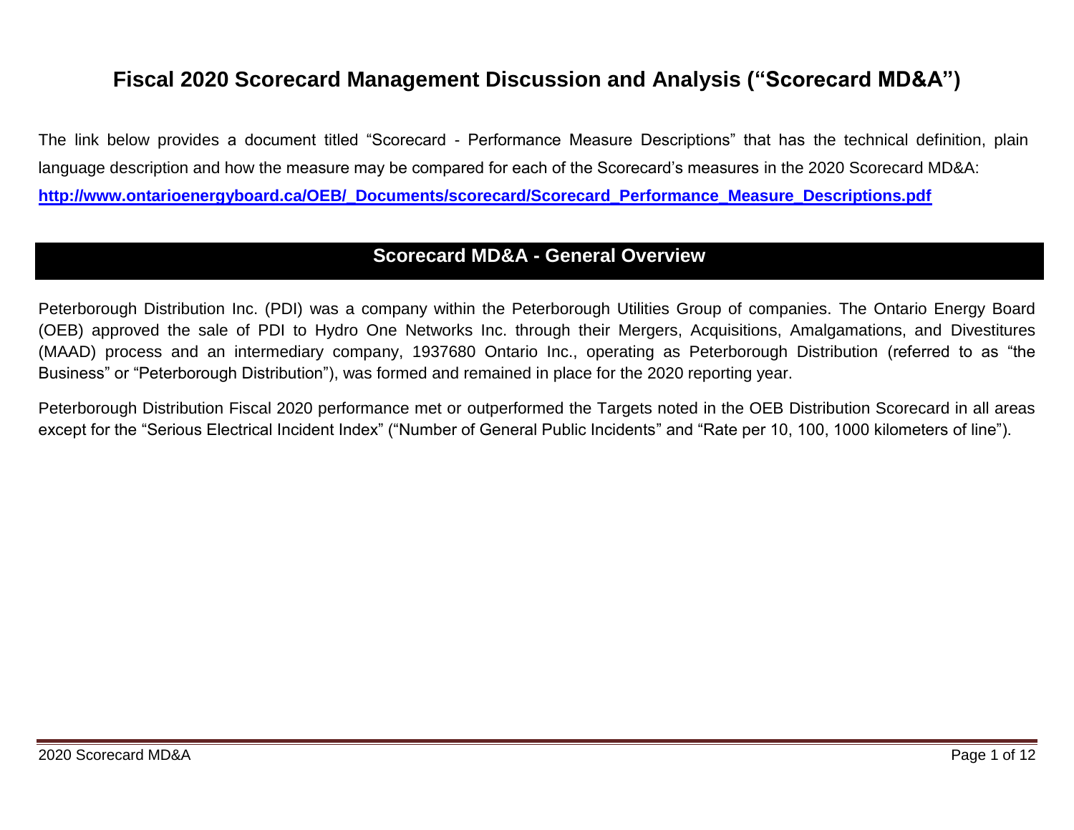# **Fiscal 2020 Scorecard Management Discussion and Analysis ("Scorecard MD&A")**

The link below provides a document titled "Scorecard - Performance Measure Descriptions" that has the technical definition, plain language description and how the measure may be compared for each of the Scorecard's measures in the 2020 Scorecard MD&A: **[http://www.ontarioenergyboard.ca/OEB/\\_Documents/scorecard/Scorecard\\_Performance\\_Measure\\_Descriptions.pdf](http://www.ontarioenergyboard.ca/OEB/_Documents/scorecard/Scorecard_Performance_Measure_Descriptions.pdf)**

# **Scorecard MD&A - General Overview**

Peterborough Distribution Inc. (PDI) was a company within the Peterborough Utilities Group of companies. The Ontario Energy Board (OEB) approved the sale of PDI to Hydro One Networks Inc. through their Mergers, Acquisitions, Amalgamations, and Divestitures (MAAD) process and an intermediary company, 1937680 Ontario Inc., operating as Peterborough Distribution (referred to as "the Business" or "Peterborough Distribution"), was formed and remained in place for the 2020 reporting year.

Peterborough Distribution Fiscal 2020 performance met or outperformed the Targets noted in the OEB Distribution Scorecard in all areas except for the "Serious Electrical Incident Index" ("Number of General Public Incidents" and "Rate per 10, 100, 1000 kilometers of line").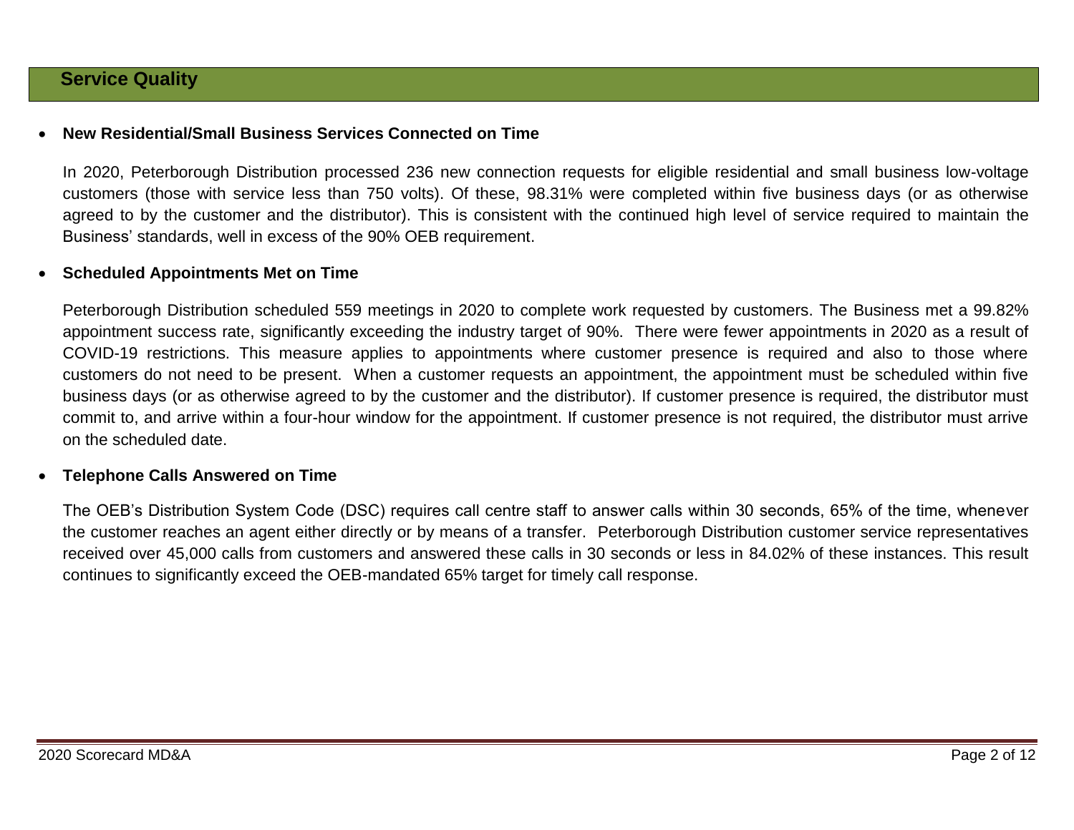### **Service Quality**

### **New Residential/Small Business Services Connected on Time**

In 2020, Peterborough Distribution processed 236 new connection requests for eligible residential and small business low-voltage customers (those with service less than 750 volts). Of these, 98.31% were completed within five business days (or as otherwise agreed to by the customer and the distributor). This is consistent with the continued high level of service required to maintain the Business' standards, well in excess of the 90% OEB requirement.

### **Scheduled Appointments Met on Time**

Peterborough Distribution scheduled 559 meetings in 2020 to complete work requested by customers. The Business met a 99.82% appointment success rate, significantly exceeding the industry target of 90%. There were fewer appointments in 2020 as a result of COVID-19 restrictions. This measure applies to appointments where customer presence is required and also to those where customers do not need to be present. When a customer requests an appointment, the appointment must be scheduled within five business days (or as otherwise agreed to by the customer and the distributor). If customer presence is required, the distributor must commit to, and arrive within a four-hour window for the appointment. If customer presence is not required, the distributor must arrive on the scheduled date.

#### **Telephone Calls Answered on Time**

The OEB's Distribution System Code (DSC) requires call centre staff to answer calls within 30 seconds, 65% of the time, whenever the customer reaches an agent either directly or by means of a transfer. Peterborough Distribution customer service representatives received over 45,000 calls from customers and answered these calls in 30 seconds or less in 84.02% of these instances. This result continues to significantly exceed the OEB-mandated 65% target for timely call response.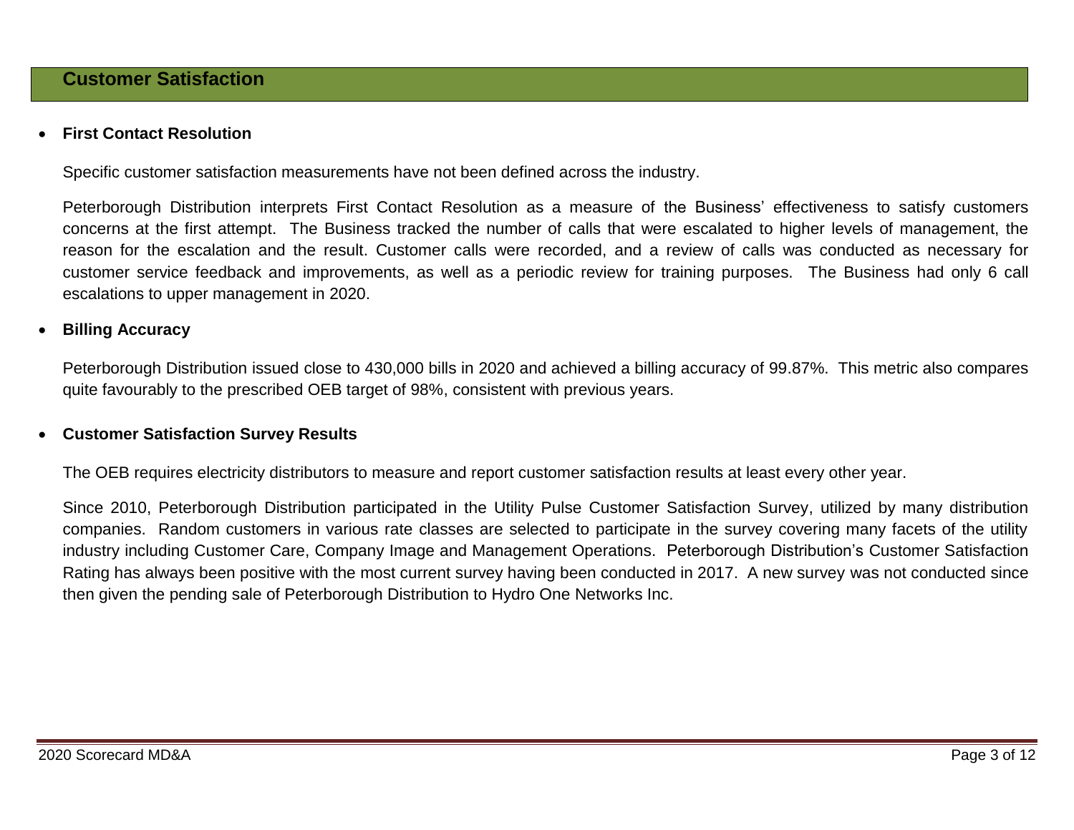### **First Contact Resolution**

Specific customer satisfaction measurements have not been defined across the industry.

Peterborough Distribution interprets First Contact Resolution as a measure of the Business' effectiveness to satisfy customers concerns at the first attempt. The Business tracked the number of calls that were escalated to higher levels of management, the reason for the escalation and the result. Customer calls were recorded, and a review of calls was conducted as necessary for customer service feedback and improvements, as well as a periodic review for training purposes. The Business had only 6 call escalations to upper management in 2020.

### **Billing Accuracy**

Peterborough Distribution issued close to 430,000 bills in 2020 and achieved a billing accuracy of 99.87%. This metric also compares quite favourably to the prescribed OEB target of 98%, consistent with previous years.

### **Customer Satisfaction Survey Results**

The OEB requires electricity distributors to measure and report customer satisfaction results at least every other year.

Since 2010, Peterborough Distribution participated in the Utility Pulse Customer Satisfaction Survey, utilized by many distribution companies. Random customers in various rate classes are selected to participate in the survey covering many facets of the utility industry including Customer Care, Company Image and Management Operations. Peterborough Distribution's Customer Satisfaction Rating has always been positive with the most current survey having been conducted in 2017. A new survey was not conducted since then given the pending sale of Peterborough Distribution to Hydro One Networks Inc.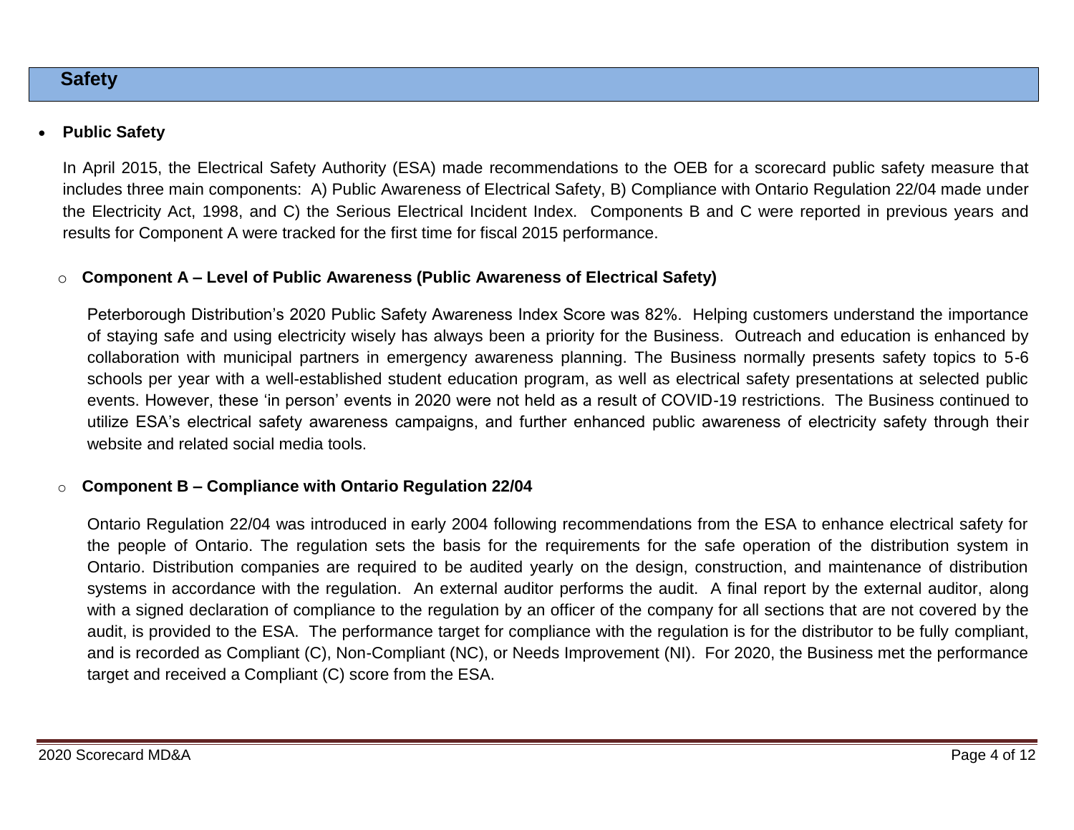### **Safety**

### **Public Safety**

In April 2015, the Electrical Safety Authority (ESA) made recommendations to the OEB for a scorecard public safety measure that includes three main components: A) Public Awareness of Electrical Safety, B) Compliance with Ontario Regulation 22/04 made under the Electricity Act, 1998, and C) the Serious Electrical Incident Index. Components B and C were reported in previous years and results for Component A were tracked for the first time for fiscal 2015 performance.

### o **Component A – Level of Public Awareness (Public Awareness of Electrical Safety)**

Peterborough Distribution's 2020 Public Safety Awareness Index Score was 82%. Helping customers understand the importance of staying safe and using electricity wisely has always been a priority for the Business. Outreach and education is enhanced by collaboration with municipal partners in emergency awareness planning. The Business normally presents safety topics to 5-6 schools per year with a well-established student education program, as well as electrical safety presentations at selected public events. However, these 'in person' events in 2020 were not held as a result of COVID-19 restrictions. The Business continued to utilize ESA's electrical safety awareness campaigns, and further enhanced public awareness of electricity safety through their website and related social media tools.

### o **Component B – Compliance with Ontario Regulation 22/04**

Ontario Regulation 22/04 was introduced in early 2004 following recommendations from the ESA to enhance electrical safety for the people of Ontario. The regulation sets the basis for the requirements for the safe operation of the distribution system in Ontario. Distribution companies are required to be audited yearly on the design, construction, and maintenance of distribution systems in accordance with the regulation. An external auditor performs the audit. A final report by the external auditor, along with a signed declaration of compliance to the regulation by an officer of the company for all sections that are not covered by the audit, is provided to the ESA. The performance target for compliance with the regulation is for the distributor to be fully compliant, and is recorded as Compliant (C), Non-Compliant (NC), or Needs Improvement (NI). For 2020, the Business met the performance target and received a Compliant (C) score from the ESA.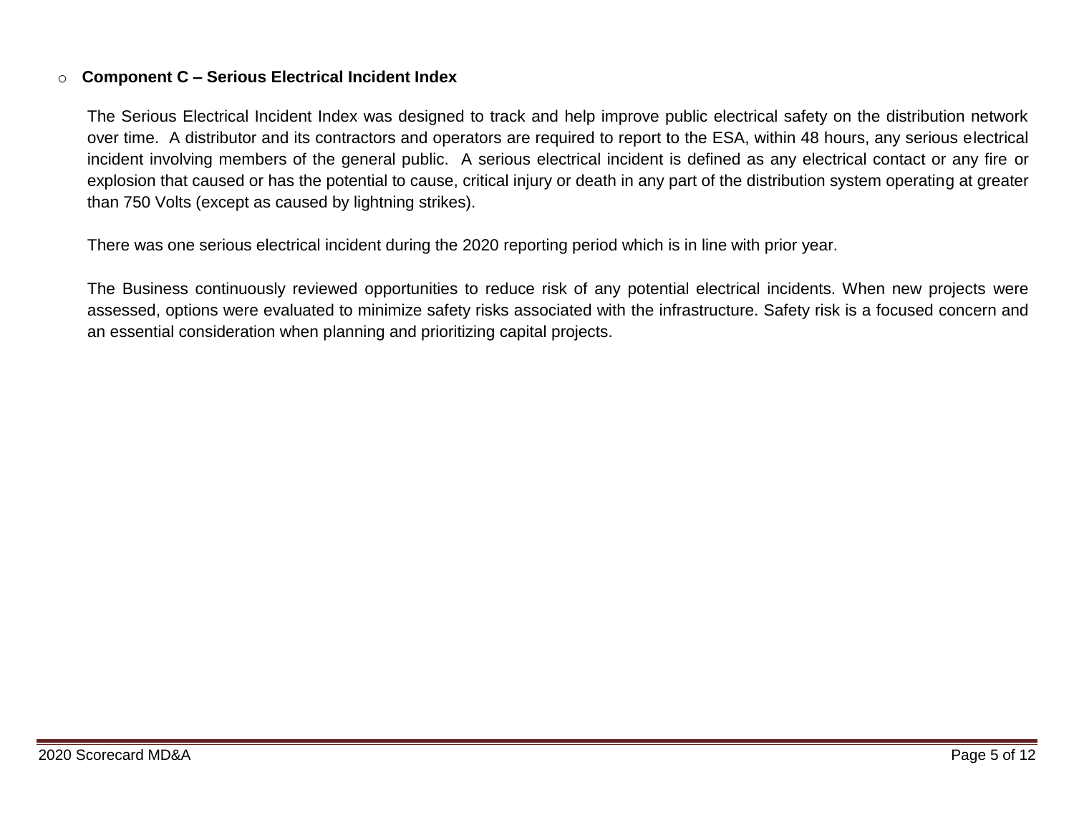### o **Component C – Serious Electrical Incident Index**

The Serious Electrical Incident Index was designed to track and help improve public electrical safety on the distribution network over time. A distributor and its contractors and operators are required to report to the ESA, within 48 hours, any serious electrical incident involving members of the general public. A serious electrical incident is defined as any electrical contact or any fire or explosion that caused or has the potential to cause, critical injury or death in any part of the distribution system operating at greater than 750 Volts (except as caused by lightning strikes).

There was one serious electrical incident during the 2020 reporting period which is in line with prior year.

The Business continuously reviewed opportunities to reduce risk of any potential electrical incidents. When new projects were assessed, options were evaluated to minimize safety risks associated with the infrastructure. Safety risk is a focused concern and an essential consideration when planning and prioritizing capital projects.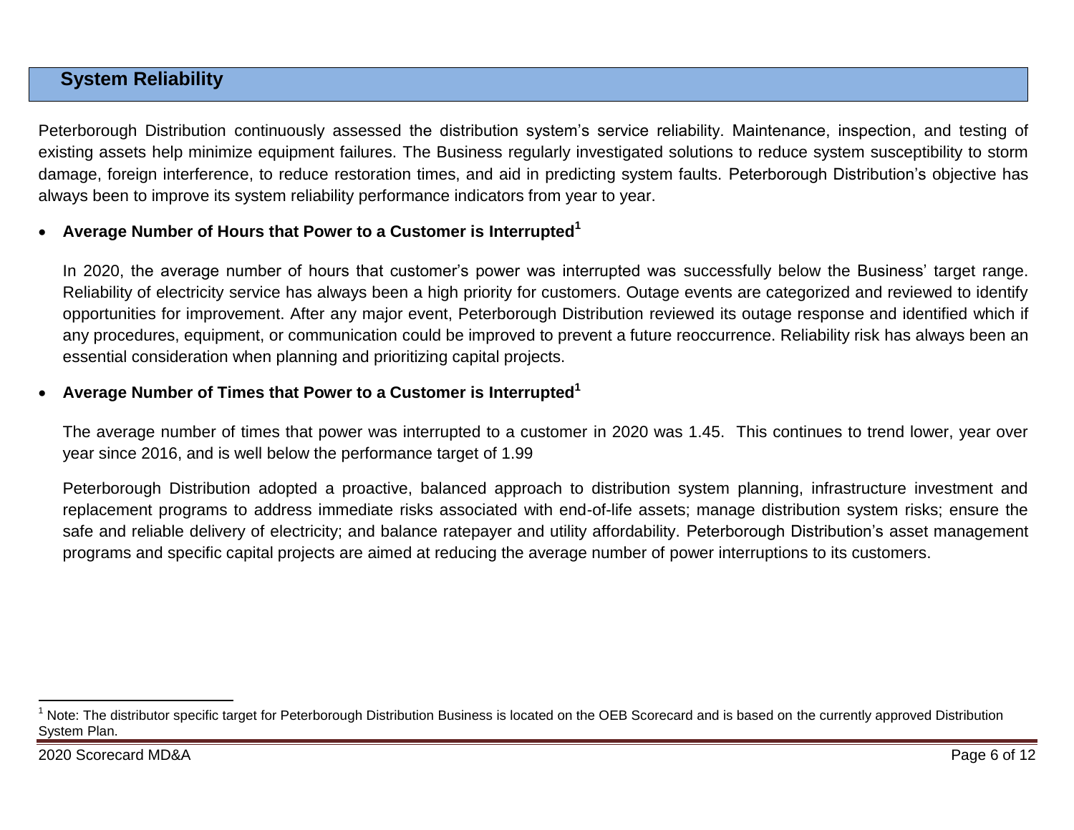# **System Reliability**

Peterborough Distribution continuously assessed the distribution system's service reliability. Maintenance, inspection, and testing of existing assets help minimize equipment failures. The Business regularly investigated solutions to reduce system susceptibility to storm damage, foreign interference, to reduce restoration times, and aid in predicting system faults. Peterborough Distribution's objective has always been to improve its system reliability performance indicators from year to year.

### **Average Number of Hours that Power to a Customer is Interrupted<sup>1</sup>**

In 2020, the average number of hours that customer's power was interrupted was successfully below the Business' target range. Reliability of electricity service has always been a high priority for customers. Outage events are categorized and reviewed to identify opportunities for improvement. After any major event, Peterborough Distribution reviewed its outage response and identified which if any procedures, equipment, or communication could be improved to prevent a future reoccurrence. Reliability risk has always been an essential consideration when planning and prioritizing capital projects.

### **Average Number of Times that Power to a Customer is Interrupted<sup>1</sup>**

The average number of times that power was interrupted to a customer in 2020 was 1.45. This continues to trend lower, year over year since 2016, and is well below the performance target of 1.99

Peterborough Distribution adopted a proactive, balanced approach to distribution system planning, infrastructure investment and replacement programs to address immediate risks associated with end-of-life assets; manage distribution system risks; ensure the safe and reliable delivery of electricity; and balance ratepayer and utility affordability. Peterborough Distribution's asset management programs and specific capital projects are aimed at reducing the average number of power interruptions to its customers.

 $\overline{a}$ 

 $1$  Note: The distributor specific target for Peterborough Distribution Business is located on the OEB Scorecard and is based on the currently approved Distribution System Plan.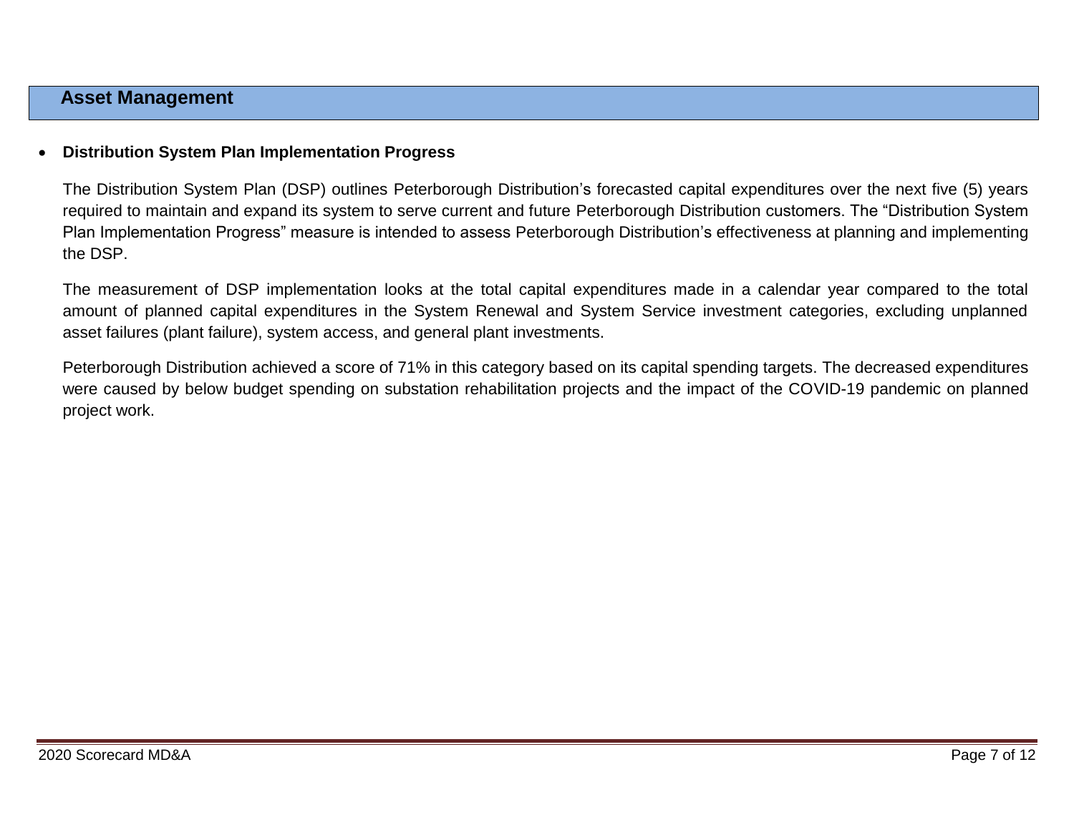### **Asset Management**

### **Distribution System Plan Implementation Progress**

The Distribution System Plan (DSP) outlines Peterborough Distribution's forecasted capital expenditures over the next five (5) years required to maintain and expand its system to serve current and future Peterborough Distribution customers. The "Distribution System Plan Implementation Progress" measure is intended to assess Peterborough Distribution's effectiveness at planning and implementing the DSP.

The measurement of DSP implementation looks at the total capital expenditures made in a calendar year compared to the total amount of planned capital expenditures in the System Renewal and System Service investment categories, excluding unplanned asset failures (plant failure), system access, and general plant investments.

Peterborough Distribution achieved a score of 71% in this category based on its capital spending targets. The decreased expenditures were caused by below budget spending on substation rehabilitation projects and the impact of the COVID-19 pandemic on planned project work.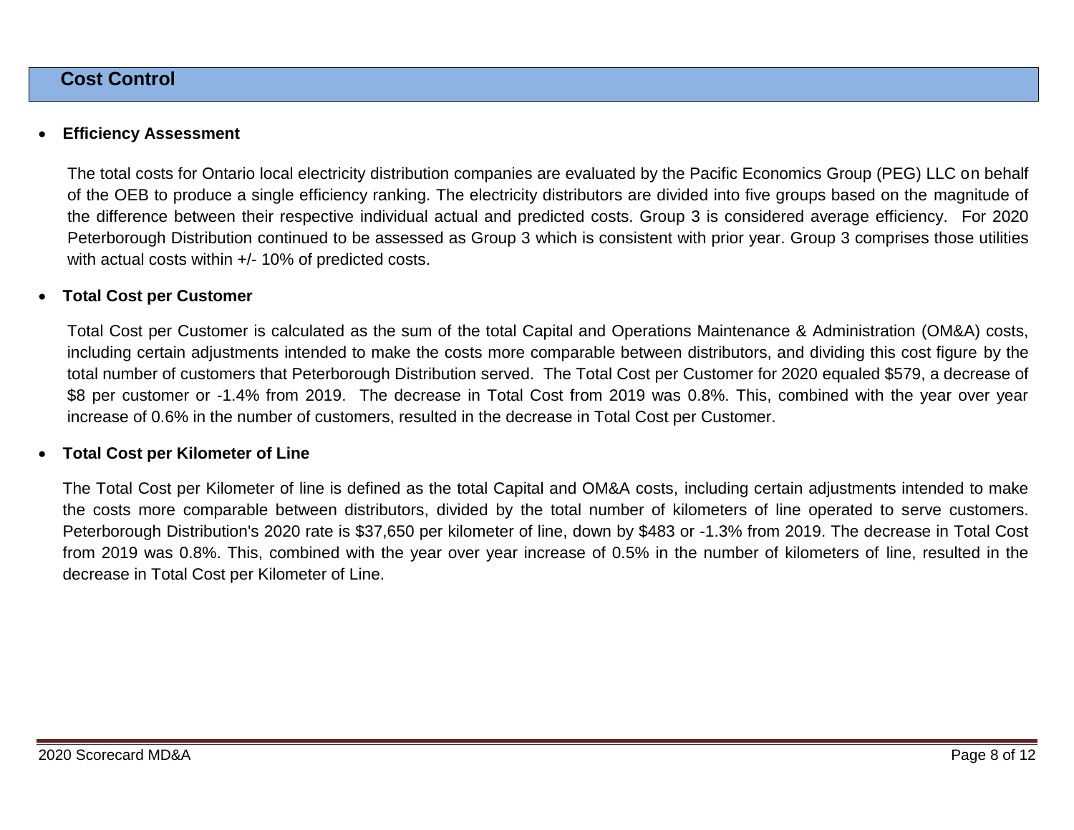### **Cost Control**

### **Efficiency Assessment**

The total costs for Ontario local electricity distribution companies are evaluated by the Pacific Economics Group (PEG) LLC on behalf of the OEB to produce a single efficiency ranking. The electricity distributors are divided into five groups based on the magnitude of the difference between their respective individual actual and predicted costs. Group 3 is considered average efficiency. For 2020 Peterborough Distribution continued to be assessed as Group 3 which is consistent with prior year. Group 3 comprises those utilities with actual costs within +/- 10% of predicted costs.

### **Total Cost per Customer**

Total Cost per Customer is calculated as the sum of the total Capital and Operations Maintenance & Administration (OM&A) costs, including certain adjustments intended to make the costs more comparable between distributors, and dividing this cost figure by the total number of customers that Peterborough Distribution served. The Total Cost per Customer for 2020 equaled \$579, a decrease of \$8 per customer or -1.4% from 2019. The decrease in Total Cost from 2019 was 0.8%. This, combined with the year over year increase of 0.6% in the number of customers, resulted in the decrease in Total Cost per Customer.

#### **Total Cost per Kilometer of Line**

The Total Cost per Kilometer of line is defined as the total Capital and OM&A costs, including certain adjustments intended to make the costs more comparable between distributors, divided by the total number of kilometers of line operated to serve customers. Peterborough Distribution's 2020 rate is \$37,650 per kilometer of line, down by \$483 or -1.3% from 2019. The decrease in Total Cost from 2019 was 0.8%. This, combined with the year over year increase of 0.5% in the number of kilometers of line, resulted in the decrease in Total Cost per Kilometer of Line.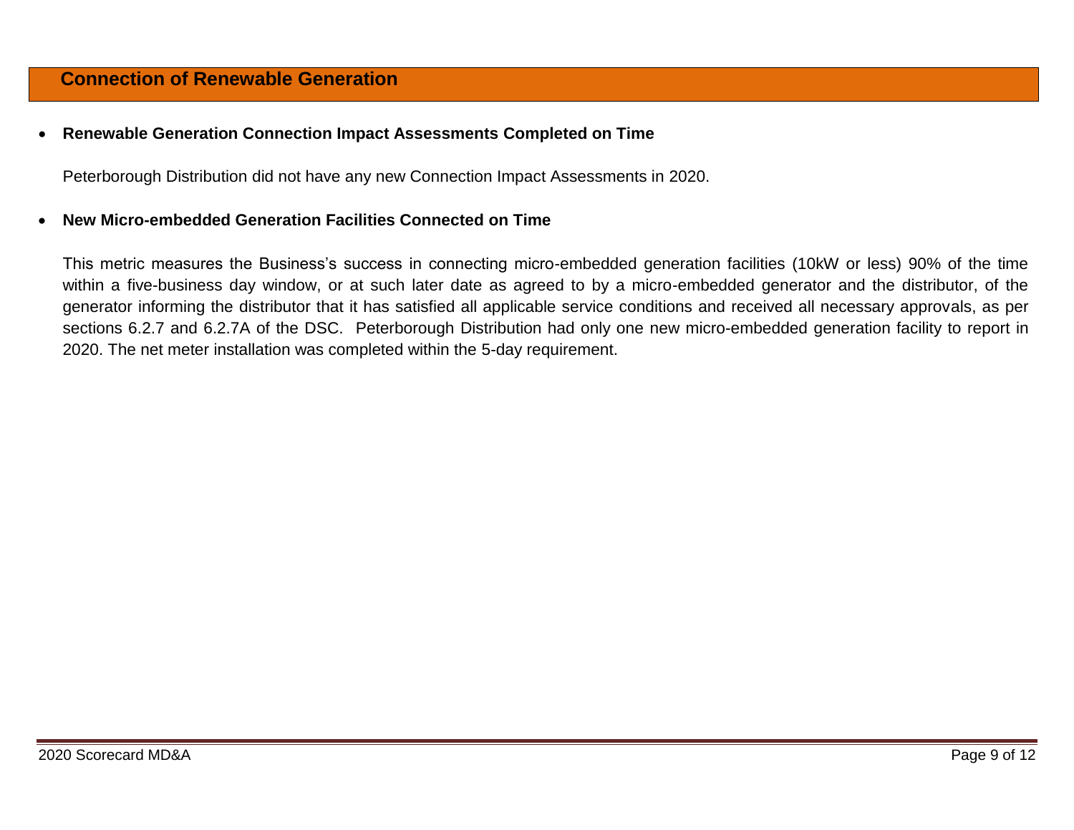### **Connection of Renewable Generation**

### **Renewable Generation Connection Impact Assessments Completed on Time**

Peterborough Distribution did not have any new Connection Impact Assessments in 2020.

### **New Micro-embedded Generation Facilities Connected on Time**

This metric measures the Business's success in connecting micro-embedded generation facilities (10kW or less) 90% of the time within a five-business day window, or at such later date as agreed to by a micro-embedded generator and the distributor, of the generator informing the distributor that it has satisfied all applicable service conditions and received all necessary approvals, as per sections 6.2.7 and 6.2.7A of the DSC. Peterborough Distribution had only one new micro-embedded generation facility to report in 2020. The net meter installation was completed within the 5-day requirement.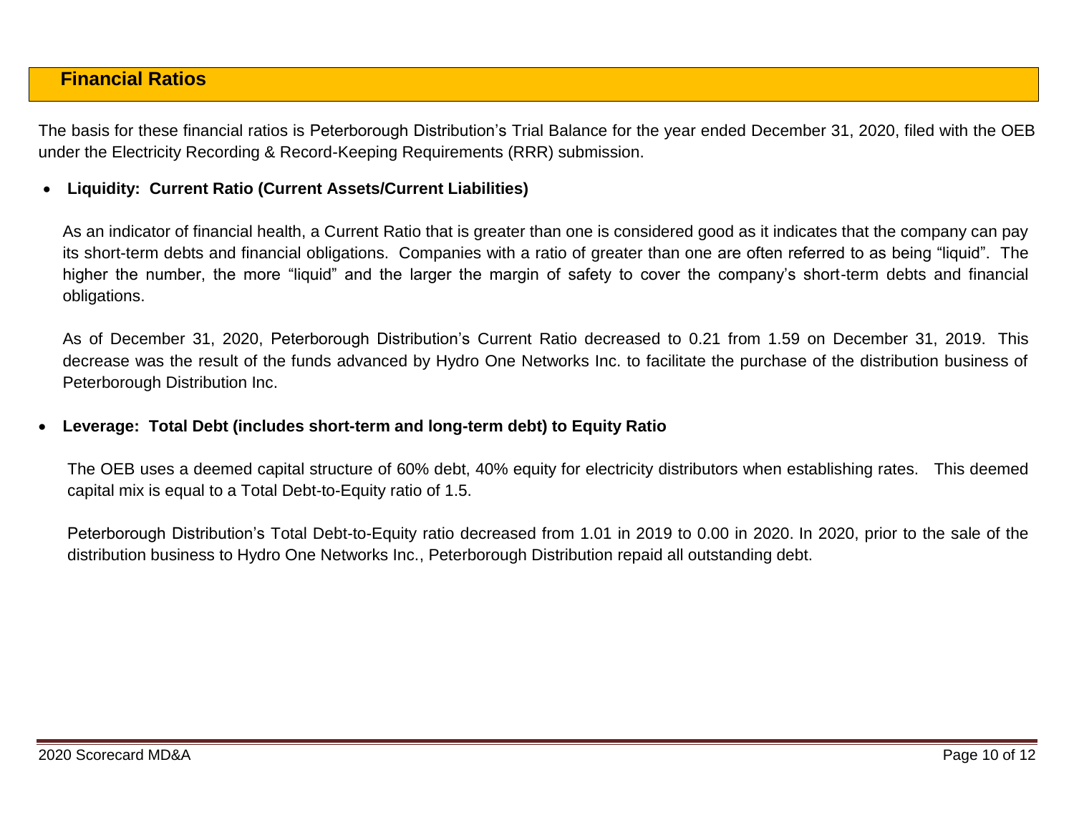## **Financial Ratios**

The basis for these financial ratios is Peterborough Distribution's Trial Balance for the year ended December 31, 2020, filed with the OEB under the Electricity Recording & Record-Keeping Requirements (RRR) submission.

### **Liquidity: Current Ratio (Current Assets/Current Liabilities)**

As an indicator of financial health, a Current Ratio that is greater than one is considered good as it indicates that the company can pay its short-term debts and financial obligations. Companies with a ratio of greater than one are often referred to as being "liquid". The higher the number, the more "liquid" and the larger the margin of safety to cover the company's short-term debts and financial obligations.

As of December 31, 2020, Peterborough Distribution's Current Ratio decreased to 0.21 from 1.59 on December 31, 2019. This decrease was the result of the funds advanced by Hydro One Networks Inc. to facilitate the purchase of the distribution business of Peterborough Distribution Inc.

### **Leverage: Total Debt (includes short-term and long-term debt) to Equity Ratio**

The OEB uses a deemed capital structure of 60% debt, 40% equity for electricity distributors when establishing rates. This deemed capital mix is equal to a Total Debt-to-Equity ratio of 1.5.

Peterborough Distribution's Total Debt-to-Equity ratio decreased from 1.01 in 2019 to 0.00 in 2020. In 2020, prior to the sale of the distribution business to Hydro One Networks Inc., Peterborough Distribution repaid all outstanding debt.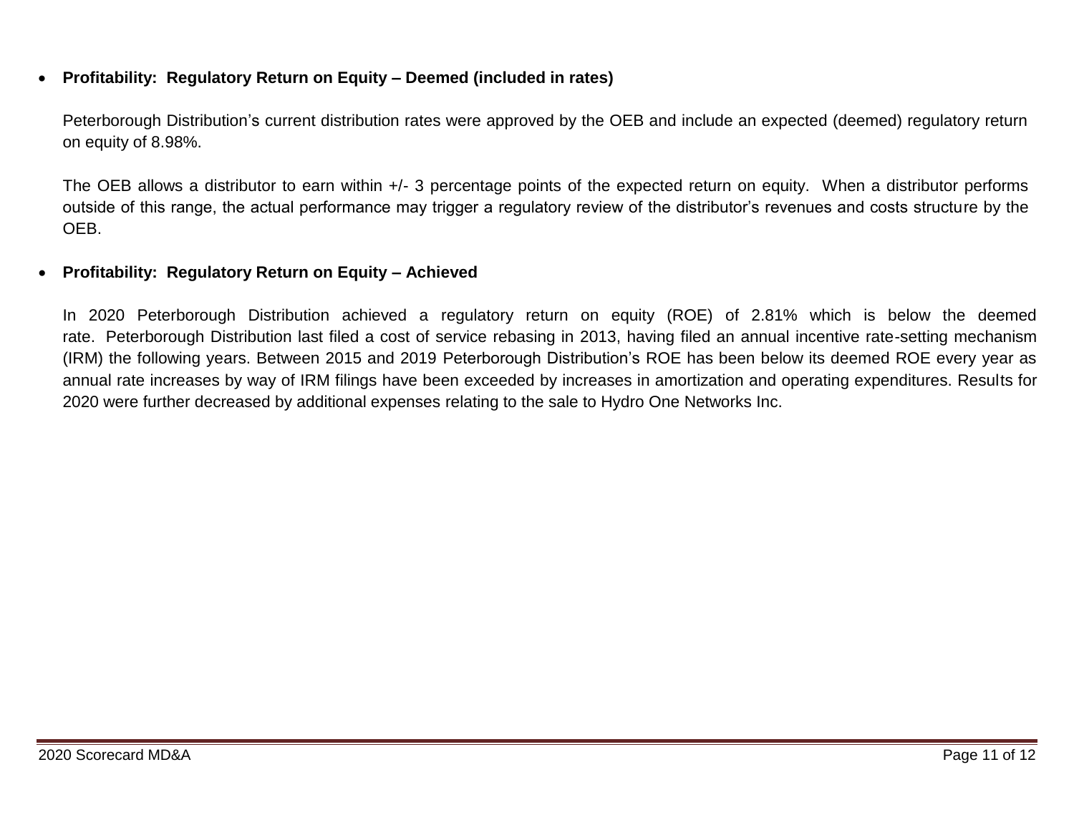### **Profitability: Regulatory Return on Equity – Deemed (included in rates)**

Peterborough Distribution's current distribution rates were approved by the OEB and include an expected (deemed) regulatory return on equity of 8.98%.

The OEB allows a distributor to earn within +/- 3 percentage points of the expected return on equity. When a distributor performs outside of this range, the actual performance may trigger a regulatory review of the distributor's revenues and costs structure by the OEB.

### **Profitability: Regulatory Return on Equity – Achieved**

In 2020 Peterborough Distribution achieved a regulatory return on equity (ROE) of 2.81% which is below the deemed rate. Peterborough Distribution last filed a cost of service rebasing in 2013, having filed an annual incentive rate-setting mechanism (IRM) the following years. Between 2015 and 2019 Peterborough Distribution's ROE has been below its deemed ROE every year as annual rate increases by way of IRM filings have been exceeded by increases in amortization and operating expenditures. Results for 2020 were further decreased by additional expenses relating to the sale to Hydro One Networks Inc.